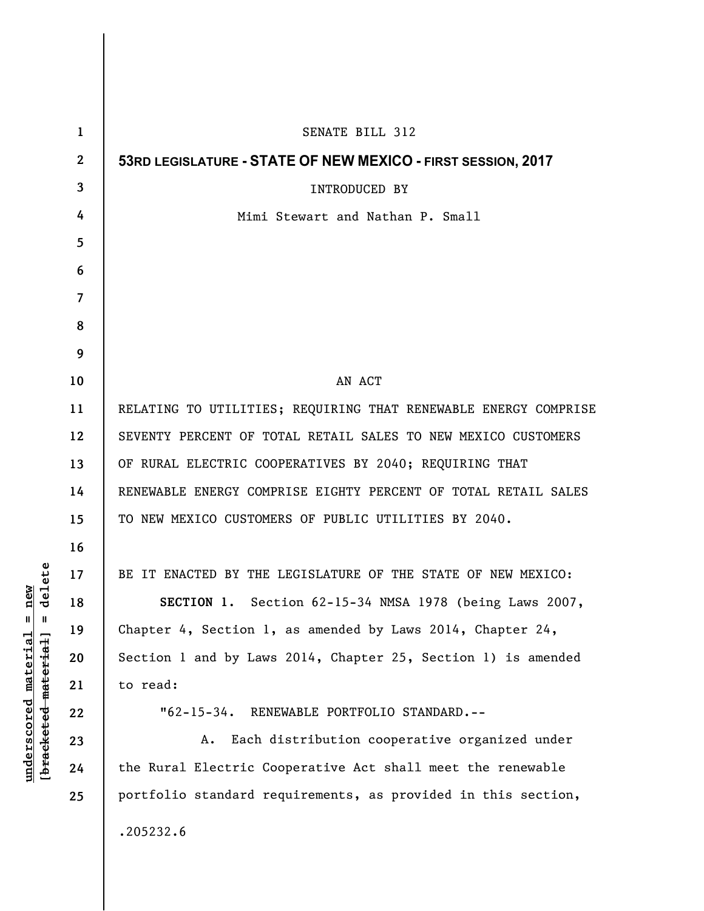| 1                       | SENATE BILL 312                                                 |
|-------------------------|-----------------------------------------------------------------|
| $\boldsymbol{2}$        | 53RD LEGISLATURE - STATE OF NEW MEXICO - FIRST SESSION, 2017    |
| 3                       | <b>INTRODUCED BY</b>                                            |
| 4                       | Mimi Stewart and Nathan P. Small                                |
| 5                       |                                                                 |
| 6                       |                                                                 |
| $\overline{\mathbf{z}}$ |                                                                 |
| 8                       |                                                                 |
| 9                       |                                                                 |
| 10                      | AN ACT                                                          |
| 11                      | RELATING TO UTILITIES; REQUIRING THAT RENEWABLE ENERGY COMPRISE |
| 12                      | SEVENTY PERCENT OF TOTAL RETAIL SALES TO NEW MEXICO CUSTOMERS   |
| 13                      | OF RURAL ELECTRIC COOPERATIVES BY 2040; REQUIRING THAT          |
| 14                      | RENEWABLE ENERGY COMPRISE EIGHTY PERCENT OF TOTAL RETAIL SALES  |
| 15                      | TO NEW MEXICO CUSTOMERS OF PUBLIC UTILITIES BY 2040.            |
| 16                      |                                                                 |
| 17                      | BE IT ENACTED BY THE LEGISLATURE OF THE STATE OF NEW MEXICO:    |
| 18                      | SECTION 1. Section 62-15-34 NMSA 1978 (being Laws 2007,         |
| 19                      | Chapter 4, Section 1, as amended by Laws 2014, Chapter 24,      |
| 20                      | Section 1 and by Laws 2014, Chapter 25, Section 1) is amended   |
| 21                      | to read:                                                        |
| 22                      | "62-15-34. RENEWABLE PORTFOLIO STANDARD.--                      |
| 23                      | Each distribution cooperative organized under<br>А.             |
| 24                      | the Rural Electric Cooperative Act shall meet the renewable     |
| 25                      | portfolio standard requirements, as provided in this section,   |
|                         | .205232.6                                                       |

**underscored material = new [bracketed material] = delete**

 $[bracketeed-materiat] = delete$  $underscored material = new$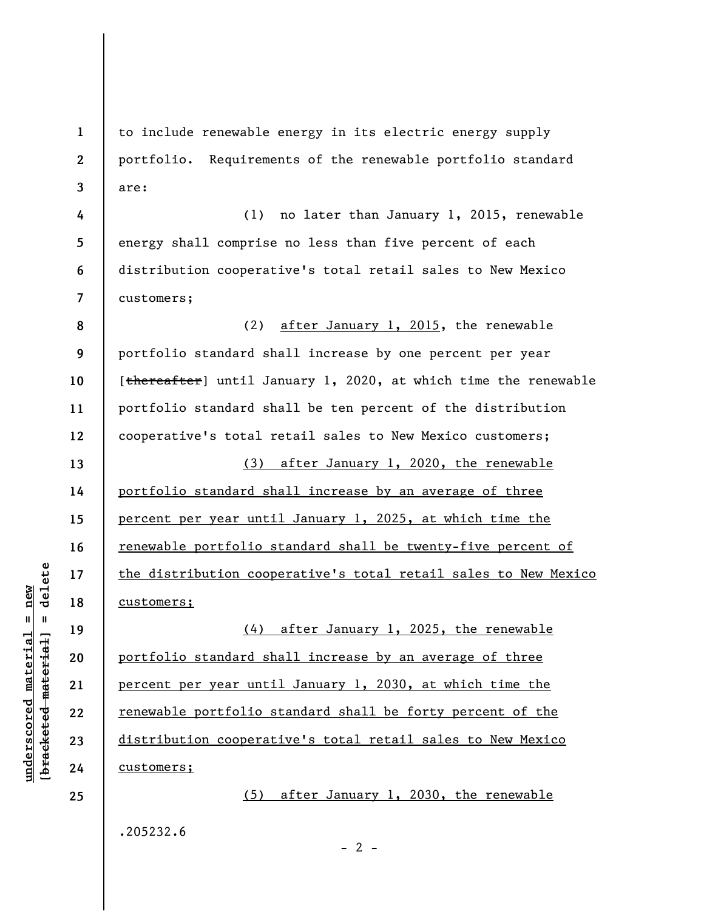to include renewable energy in its electric energy supply portfolio. Requirements of the renewable portfolio standard are:

(1) no later than January 1, 2015, renewable energy shall comprise no less than five percent of each distribution cooperative's total retail sales to New Mexico customers;

**8 9 10 11 12 13 14 15 16 17 18**  (2) after January 1, 2015, the renewable portfolio standard shall increase by one percent per year [thereafter] until January 1, 2020, at which time the renewable portfolio standard shall be ten percent of the distribution cooperative's total retail sales to New Mexico customers; (3) after January 1, 2020, the renewable portfolio standard shall increase by an average of three percent per year until January 1, 2025, at which time the renewable portfolio standard shall be twenty-five percent of the distribution cooperative's total retail sales to New Mexico customers;

(4) after January 1, 2025, the renewable portfolio standard shall increase by an average of three percent per year until January 1, 2030, at which time the renewable portfolio standard shall be forty percent of the distribution cooperative's total retail sales to New Mexico customers;

.205232.6

 $\frac{1}{2}$  intereted material = delete **[bracketed material] = delete**  $underscored material = new$ **underscored material = new**

**19** 

**20** 

**21** 

**22** 

**23** 

**24** 

**25** 

**1** 

**2** 

**3** 

**4** 

**5** 

**6** 

**7** 

 $- 2 -$ 

(5) after January 1, 2030, the renewable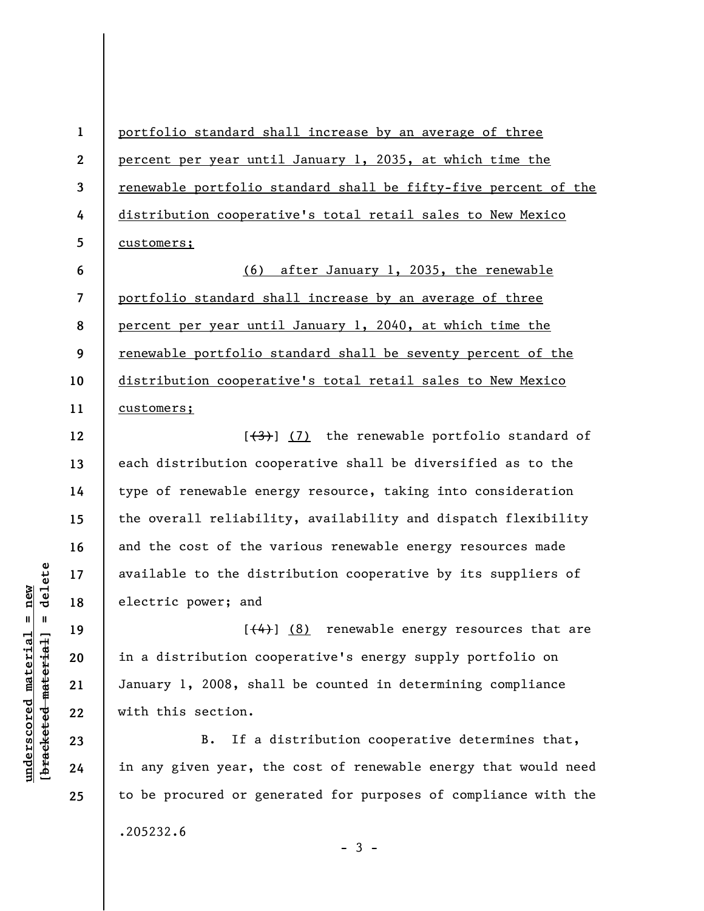portfolio standard shall increase by an average of three percent per year until January 1, 2035, at which time the renewable portfolio standard shall be fifty-five percent of the distribution cooperative's total retail sales to New Mexico customers;

**6 7 8 9 10 11**  (6) after January 1, 2035, the renewable portfolio standard shall increase by an average of three percent per year until January 1, 2040, at which time the renewable portfolio standard shall be seventy percent of the distribution cooperative's total retail sales to New Mexico customers;

 $[\frac{(3)}{3}]$  (7) the renewable portfolio standard of each distribution cooperative shall be diversified as to the type of renewable energy resource, taking into consideration the overall reliability, availability and dispatch flexibility and the cost of the various renewable energy resources made available to the distribution cooperative by its suppliers of electric power; and

 $[$ (4)] (8) renewable energy resources that are in a distribution cooperative's energy supply portfolio on January 1, 2008, shall be counted in determining compliance with this section.

B. If a distribution cooperative determines that, in any given year, the cost of renewable energy that would need to be procured or generated for purposes of compliance with the .205232.6

 $-3 -$ 

 $\frac{1}{2}$  intereted material = delete **[bracketed material] = delete**  $underscored material = new$ **underscored material = new**

**23 24 25** 

**1** 

**2** 

**3** 

**4** 

**5** 

**12** 

**13** 

**14** 

**15** 

**16** 

**17** 

**18** 

**19** 

**20** 

**21** 

**22**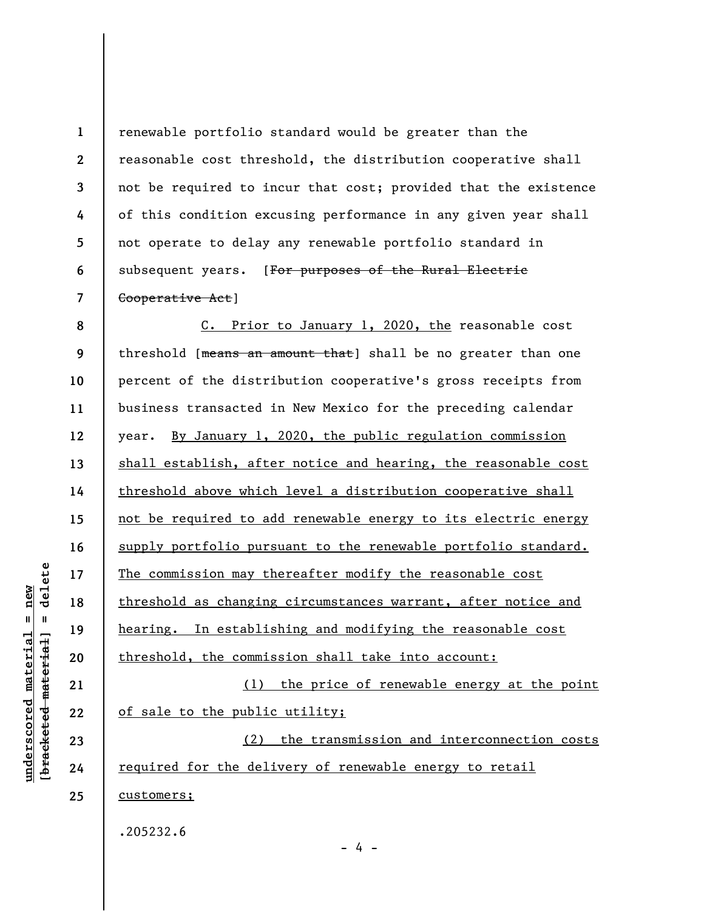**1 2 3 4 5 6 7**  renewable portfolio standard would be greater than the reasonable cost threshold, the distribution cooperative shall not be required to incur that cost; provided that the existence of this condition excusing performance in any given year shall not operate to delay any renewable portfolio standard in subsequent years. [For purposes of the Rural Electric Cooperative Act]

**8 9 10 11 12 13 14 15 16 17 18 19 20 21 22 23 24 25**  C. Prior to January 1, 2020, the reasonable cost threshold [means an amount that] shall be no greater than one percent of the distribution cooperative's gross receipts from business transacted in New Mexico for the preceding calendar year. By January 1, 2020, the public regulation commission shall establish, after notice and hearing, the reasonable cost threshold above which level a distribution cooperative shall not be required to add renewable energy to its electric energy supply portfolio pursuant to the renewable portfolio standard. The commission may thereafter modify the reasonable cost threshold as changing circumstances warrant, after notice and hearing. In establishing and modifying the reasonable cost threshold, the commission shall take into account: (1) the price of renewable energy at the point of sale to the public utility; (2) the transmission and interconnection costs required for the delivery of renewable energy to retail customers;

- 4 -

.205232.6

delete **[bracketed material] = delete**  $anderscored material = new$ **underscored material = new**  $\frac{1}{2}$  = [44-beted material]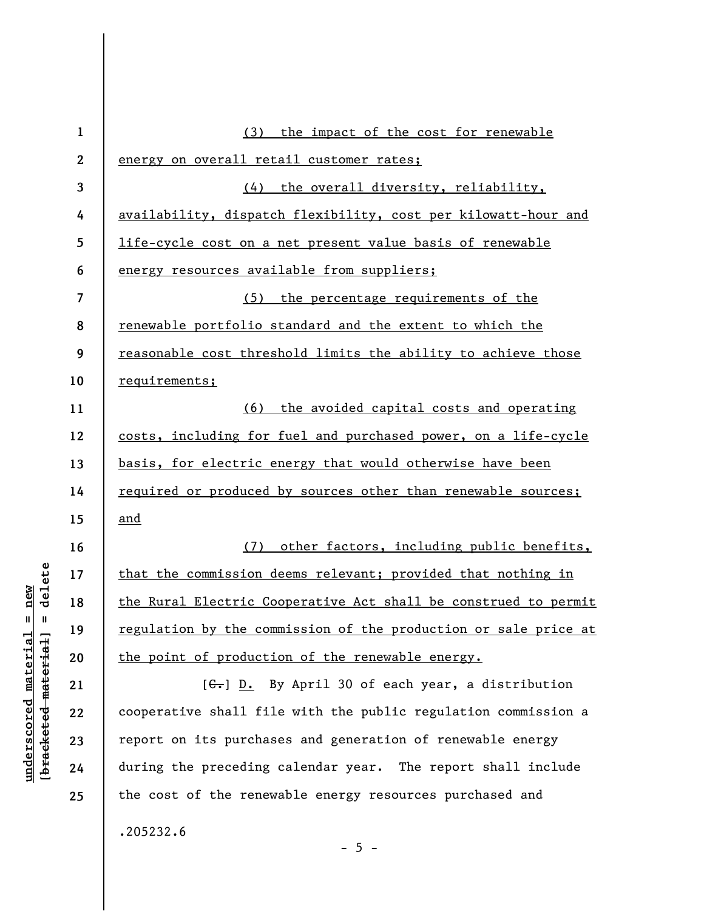| $\mathbf{1}$            | (3) the impact of the cost for renewable                            |
|-------------------------|---------------------------------------------------------------------|
| $\boldsymbol{2}$        | energy on overall retail customer rates;                            |
| 3                       | (4) the overall diversity, reliability,                             |
| 4                       | availability, dispatch flexibility, cost per kilowatt-hour and      |
| 5                       | life-cycle cost on a net present value basis of renewable           |
| 6                       | energy resources available from suppliers;                          |
| $\overline{\mathbf{z}}$ | (5) the percentage requirements of the                              |
| 8                       | renewable portfolio standard and the extent to which the            |
| 9                       | reasonable cost threshold limits the ability to achieve those       |
| 10                      | requirements;                                                       |
| 11                      | (6) the avoided capital costs and operating                         |
| 12                      | costs, including for fuel and purchased power, on a life-cycle      |
| 13                      | basis, for electric energy that would otherwise have been           |
| 14                      | required or produced by sources other than renewable sources;       |
| 15                      | and                                                                 |
| 16                      | other factors, including public benefits,<br>(7)                    |
| 17                      | that the commission deems relevant; provided that nothing in        |
| 18                      | the Rural Electric Cooperative Act shall be construed to permit     |
| 19                      | regulation by the commission of the production or sale price at     |
| 20                      | the point of production of the renewable energy.                    |
| 21                      | $[\frac{C}{\sqrt{16}}]$ D. By April 30 of each year, a distribution |
| 22                      | cooperative shall file with the public regulation commission a      |
| 23                      | report on its purchases and generation of renewable energy          |
| 24                      | during the preceding calendar year. The report shall include        |
| 25                      | the cost of the renewable energy resources purchased and            |
|                         | .205232.6                                                           |
|                         |                                                                     |

 $[bracketeed-materiat] = delete$ **[bracketed material] = delete**  $underscored material = new$ **underscored material = new**

- 5 -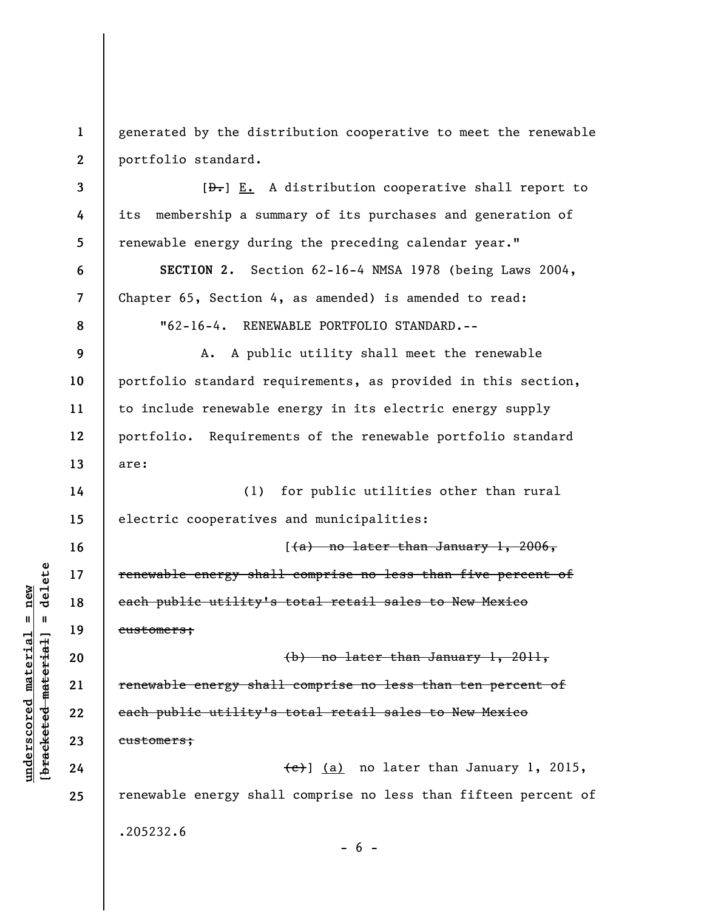**1 2**  generated by the distribution cooperative to meet the renewable portfolio standard.

 $[\frac{D-1}{2}]$  E. A distribution cooperative shall report to its membership a summary of its purchases and generation of renewable energy during the preceding calendar year."

**SECTION 2.** Section 62-16-4 NMSA 1978 (being Laws 2004, Chapter 65, Section 4, as amended) is amended to read: "62-16-4. RENEWABLE PORTFOLIO STANDARD.--

A. A public utility shall meet the renewable portfolio standard requirements, as provided in this section, to include renewable energy in its electric energy supply portfolio. Requirements of the renewable portfolio standard are:

**14 15**  (1) for public utilities other than rural electric cooperatives and municipalities:

 $(4a)$  no later than January 1, 2006, renewable energy shall comprise no less than five percent of each public utility's total retail sales to New Mexico customers;

(b) no later than January 1, 2011, renewable energy shall comprise no less than ten percent of each public utility's total retail sales to New Mexico customers;

(c)] (a) no later than January 1, 2015, renewable energy shall comprise no less than fifteen percent of .205232.6  $- 6 -$ 

 $\frac{1}{2}$  intereted material = delete **[bracketed material] = delete**  $underscored material = new$ **underscored material = new**

**3** 

**4** 

**5** 

**6** 

**7** 

**8** 

**9** 

**10** 

**11** 

**12** 

**13** 

**16** 

**17** 

**18** 

**19** 

**20** 

**21** 

**22** 

**23** 

**24** 

**25**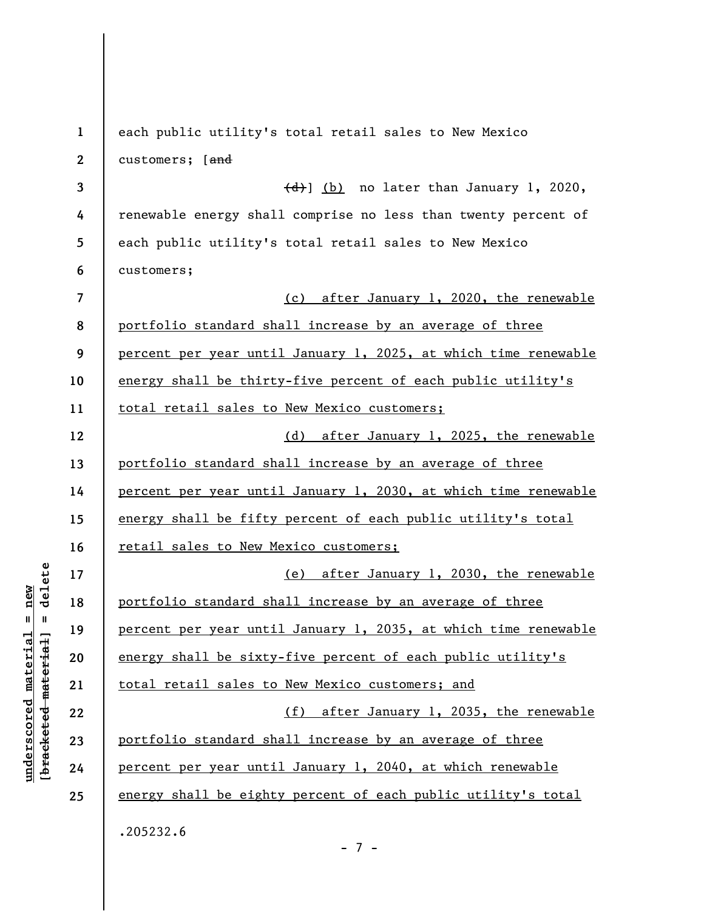| $\mathbf{1}$            | each public utility's total retail sales to New Mexico          |
|-------------------------|-----------------------------------------------------------------|
| $\mathbf{2}$            | customers; [and                                                 |
| 3                       | $\left(\frac{d}{d}\right)$ (b) no later than January 1, 2020,   |
| 4                       | renewable energy shall comprise no less than twenty percent of  |
| 5                       | each public utility's total retail sales to New Mexico          |
| 6                       | customers;                                                      |
| $\overline{\mathbf{z}}$ | (c) after January 1, 2020, the renewable                        |
| 8                       | portfolio standard shall increase by an average of three        |
| 9                       | percent per year until January 1, 2025, at which time renewable |
| 10                      | energy shall be thirty-five percent of each public utility's    |
| 11                      | total retail sales to New Mexico customers;                     |
| 12                      | (d) after January 1, 2025, the renewable                        |
| 13                      | portfolio standard shall increase by an average of three        |
| 14                      | percent per year until January 1, 2030, at which time renewable |
| 15                      | energy shall be fifty percent of each public utility's total    |
| 16                      | retail sales to New Mexico customers;                           |
| 17                      | (e) after January 1, 2030, the renewable                        |
| 18                      | portfolio standard shall increase by an average of three        |
| 19                      | percent per year until January 1, 2035, at which time renewable |
| 20                      | energy shall be sixty-five percent of each public utility's     |
| 21                      | total retail sales to New Mexico customers; and                 |
| 22                      | (f) after January 1, 2035, the renewable                        |
| 23                      | portfolio standard shall increase by an average of three        |
| 24                      | percent per year until January 1, 2040, at which renewable      |
| 25                      | energy shall be eighty percent of each public utility's total   |
|                         | .205232.6                                                       |
|                         | $-7 -$                                                          |

 $[bracketeed-materiat] = delete$ **[bracketed material] = delete**  $underscored material = new$ **underscored material = new**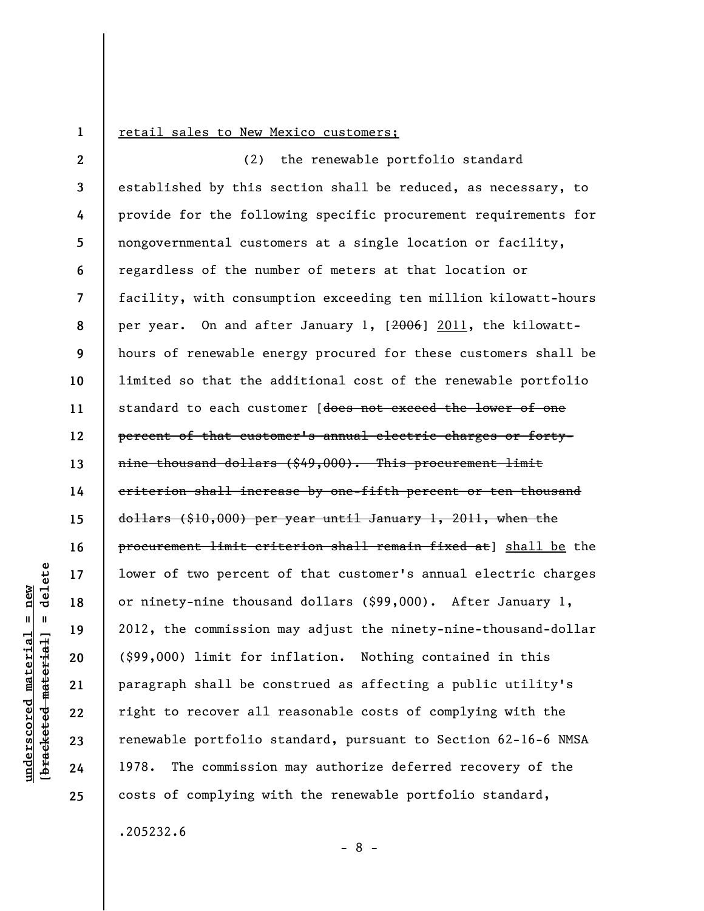**1** 

## retail sales to New Mexico customers;

**2 3 4 5 6 7 8 9 10 11 12 13 14 15 16 17 18 19 20 21 22 23 24 25**  (2) the renewable portfolio standard established by this section shall be reduced, as necessary, to provide for the following specific procurement requirements for nongovernmental customers at a single location or facility, regardless of the number of meters at that location or facility, with consumption exceeding ten million kilowatt-hours per year. On and after January 1, [2006] 2011, the kilowatthours of renewable energy procured for these customers shall be limited so that the additional cost of the renewable portfolio standard to each customer [does not exceed the lower of one percent of that customer's annual electric charges or fortynine thousand dollars (\$49,000). This procurement limit criterion shall increase by one-fifth percent or ten thousand dollars (\$10,000) per year until January 1, 2011, when the procurement limit criterion shall remain fixed at] shall be the lower of two percent of that customer's annual electric charges or ninety-nine thousand dollars (\$99,000). After January 1, 2012, the commission may adjust the ninety-nine-thousand-dollar (\$99,000) limit for inflation. Nothing contained in this paragraph shall be construed as affecting a public utility's right to recover all reasonable costs of complying with the renewable portfolio standard, pursuant to Section 62-16-6 NMSA 1978. The commission may authorize deferred recovery of the costs of complying with the renewable portfolio standard,

.205232.6

- 8 -

delete **[bracketed material] = delete**  $anderscored material = new$ **underscored material = new**  $\mathbf{I}$ bracketed material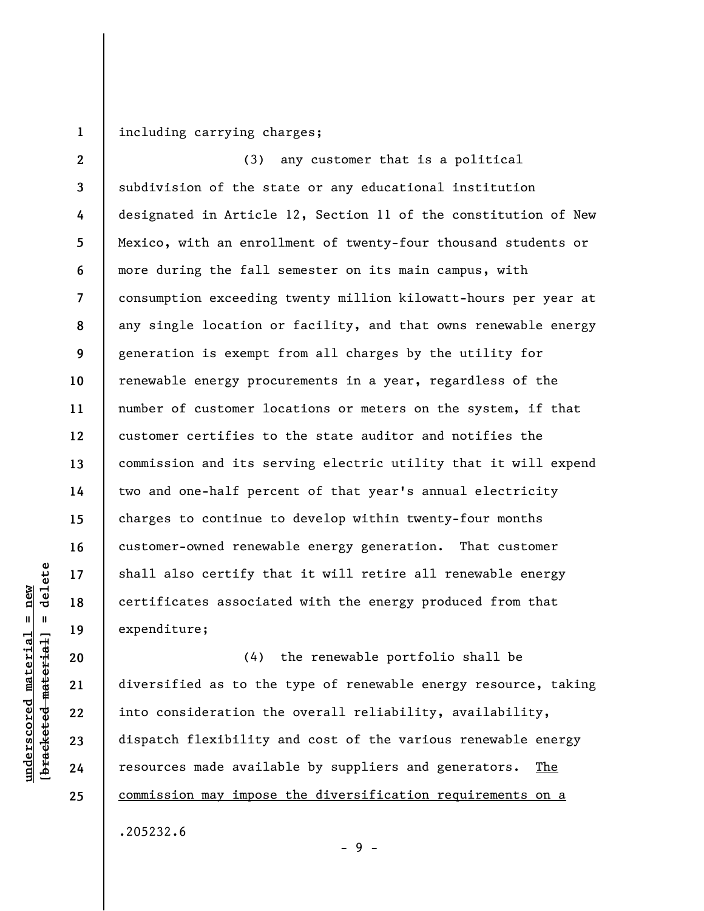**1**  including carrying charges;

**2 3 4 5 6 7 8 9 10 11 12 13 14 15 16 17 18 19**  (3) any customer that is a political subdivision of the state or any educational institution designated in Article 12, Section 11 of the constitution of New Mexico, with an enrollment of twenty-four thousand students or more during the fall semester on its main campus, with consumption exceeding twenty million kilowatt-hours per year at any single location or facility, and that owns renewable energy generation is exempt from all charges by the utility for renewable energy procurements in a year, regardless of the number of customer locations or meters on the system, if that customer certifies to the state auditor and notifies the commission and its serving electric utility that it will expend two and one-half percent of that year's annual electricity charges to continue to develop within twenty-four months customer-owned renewable energy generation. That customer shall also certify that it will retire all renewable energy certificates associated with the energy produced from that expenditure;

(4) the renewable portfolio shall be diversified as to the type of renewable energy resource, taking into consideration the overall reliability, availability, dispatch flexibility and cost of the various renewable energy resources made available by suppliers and generators. The commission may impose the diversification requirements on a

.205232.6

**underscored material = new [bracketed material] = delete**

 $\frac{1}{2}$  intereted material = delete  $underscored material = new$ 

**20** 

**21** 

**22** 

**23** 

**24** 

**25** 

- 9 -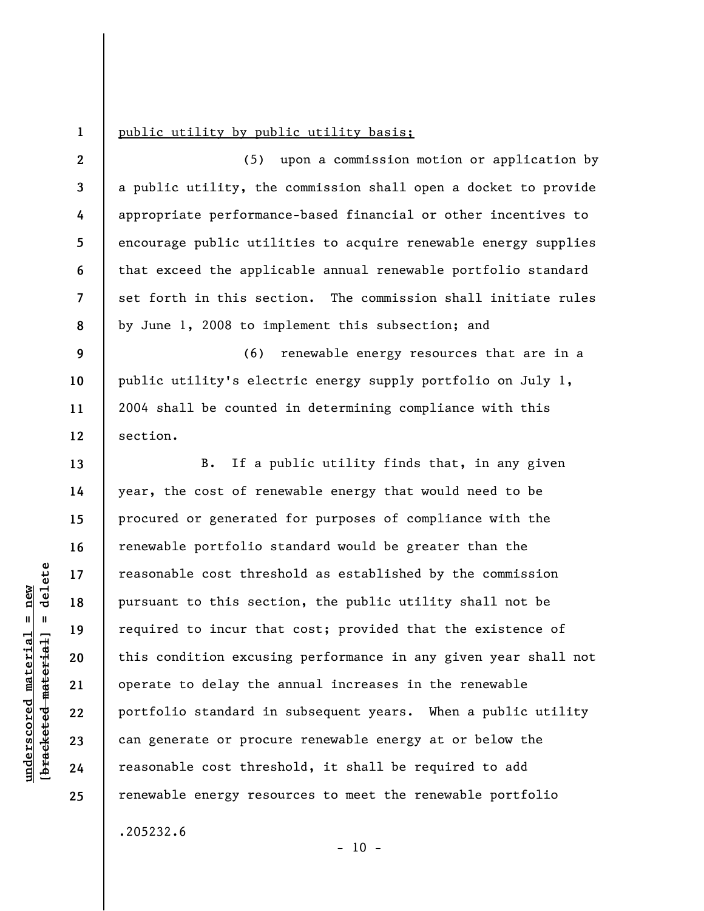**1** 

**9** 

**10** 

**11** 

**13** 

**14** 

**15** 

**16** 

**17** 

**18** 

**19** 

**20** 

**21** 

**22** 

**23** 

**24** 

**25** 

## public utility by public utility basis;

**2 3 4 5 6 7 8**  (5) upon a commission motion or application by a public utility, the commission shall open a docket to provide appropriate performance-based financial or other incentives to encourage public utilities to acquire renewable energy supplies that exceed the applicable annual renewable portfolio standard set forth in this section. The commission shall initiate rules by June 1, 2008 to implement this subsection; and

**12**  (6) renewable energy resources that are in a public utility's electric energy supply portfolio on July 1, 2004 shall be counted in determining compliance with this section.

B. If a public utility finds that, in any given year, the cost of renewable energy that would need to be procured or generated for purposes of compliance with the renewable portfolio standard would be greater than the reasonable cost threshold as established by the commission pursuant to this section, the public utility shall not be required to incur that cost; provided that the existence of this condition excusing performance in any given year shall not operate to delay the annual increases in the renewable portfolio standard in subsequent years. When a public utility can generate or procure renewable energy at or below the reasonable cost threshold, it shall be required to add renewable energy resources to meet the renewable portfolio .205232.6

 $- 10 -$ 

 $\frac{1}{2}$  of  $\frac{1}{2}$  and  $\frac{1}{2}$  and  $\frac{1}{2}$  and  $\frac{1}{2}$  and  $\frac{1}{2}$  and  $\frac{1}{2}$  and  $\frac{1}{2}$  and  $\frac{1}{2}$  and  $\frac{1}{2}$  and  $\frac{1}{2}$  and  $\frac{1}{2}$  and  $\frac{1}{2}$  and  $\frac{1}{2}$  and  $\frac{1}{2}$  and  $\frac{1}{2}$  an **[bracketed material] = delete**  $anderscored material = new$ **underscored material = new**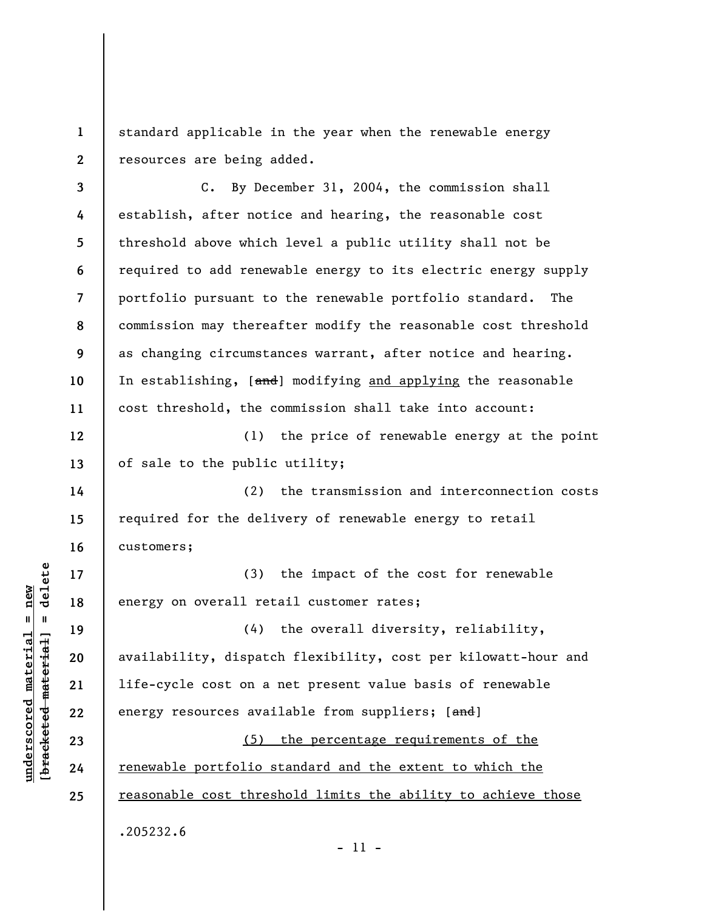**1 2**  standard applicable in the year when the renewable energy resources are being added.

**3 4 5 6 7 8 9 10 11 12**  C. By December 31, 2004, the commission shall establish, after notice and hearing, the reasonable cost threshold above which level a public utility shall not be required to add renewable energy to its electric energy supply portfolio pursuant to the renewable portfolio standard. The commission may thereafter modify the reasonable cost threshold as changing circumstances warrant, after notice and hearing. In establishing, [and] modifying and applying the reasonable cost threshold, the commission shall take into account:

(1) the price of renewable energy at the point of sale to the public utility;

(2) the transmission and interconnection costs required for the delivery of renewable energy to retail customers;

(3) the impact of the cost for renewable energy on overall retail customer rates;

(4) the overall diversity, reliability, availability, dispatch flexibility, cost per kilowatt-hour and life-cycle cost on a net present value basis of renewable energy resources available from suppliers; [and]

(5) the percentage requirements of the renewable portfolio standard and the extent to which the reasonable cost threshold limits the ability to achieve those .205232.6

 $\frac{1}{2}$  of  $\frac{1}{2}$  and  $\frac{1}{2}$  and  $\frac{1}{2}$  and  $\frac{1}{2}$  and  $\frac{1}{2}$  and  $\frac{1}{2}$  and  $\frac{1}{2}$  and  $\frac{1}{2}$  and  $\frac{1}{2}$  and  $\frac{1}{2}$  and  $\frac{1}{2}$  and  $\frac{1}{2}$  and  $\frac{1}{2}$  and  $\frac{1}{2}$  and  $\frac{1}{2}$  an **[bracketed material] = delete**  $anderscored material = new$ **underscored material = new**

**13** 

**14** 

**15** 

**16** 

**17** 

**18** 

**19** 

**20** 

**21** 

**22** 

**23** 

**24** 

**25** 

- 11 -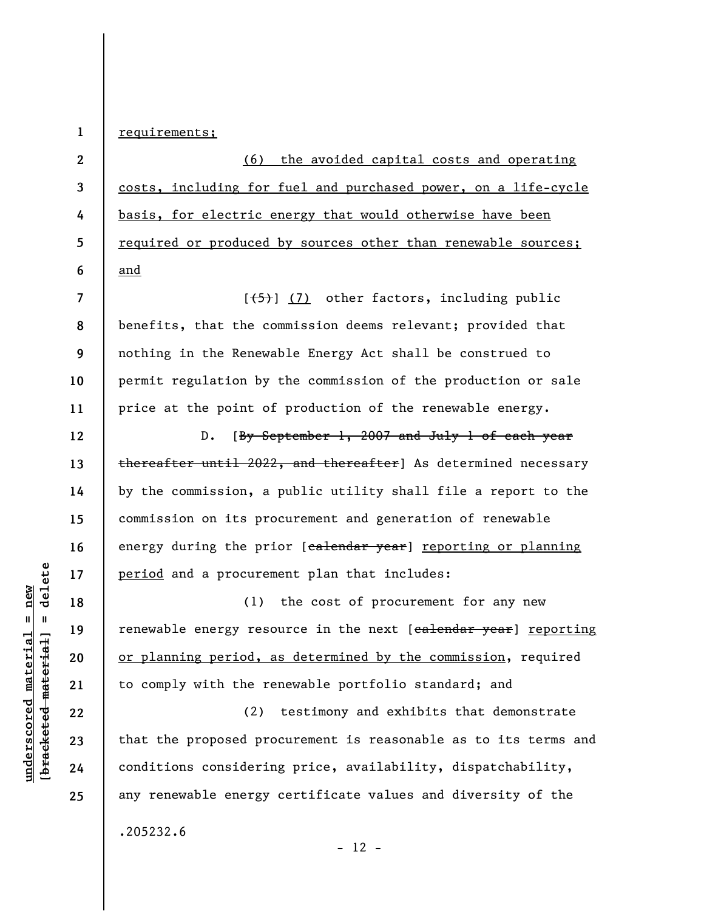**1**  requirements;

**2 3 4 5 6**  (6) the avoided capital costs and operating costs, including for fuel and purchased power, on a life-cycle basis, for electric energy that would otherwise have been required or produced by sources other than renewable sources; and

**7 8 9 10 11**   $[\frac{1}{5}]$  (7) other factors, including public benefits, that the commission deems relevant; provided that nothing in the Renewable Energy Act shall be construed to permit regulation by the commission of the production or sale price at the point of production of the renewable energy.

D. [By September 1, 2007 and July 1 of each year thereafter until 2022, and thereafter] As determined necessary by the commission, a public utility shall file a report to the commission on its procurement and generation of renewable energy during the prior [calendar year] reporting or planning period and a procurement plan that includes:

(1) the cost of procurement for any new renewable energy resource in the next [calendar year] reporting or planning period, as determined by the commission, required to comply with the renewable portfolio standard; and

(2) testimony and exhibits that demonstrate that the proposed procurement is reasonable as to its terms and conditions considering price, availability, dispatchability, any renewable energy certificate values and diversity of the

 $\frac{1}{2}$  intereted material = delete **[bracketed material] = delete**  $anderscored material = new$ **underscored material = new**

**12** 

**13** 

**14** 

**15** 

**16** 

**17** 

**18** 

**19** 

**20** 

**21** 

**22** 

**23** 

**24** 

**25** 

.205232.6

 $- 12 -$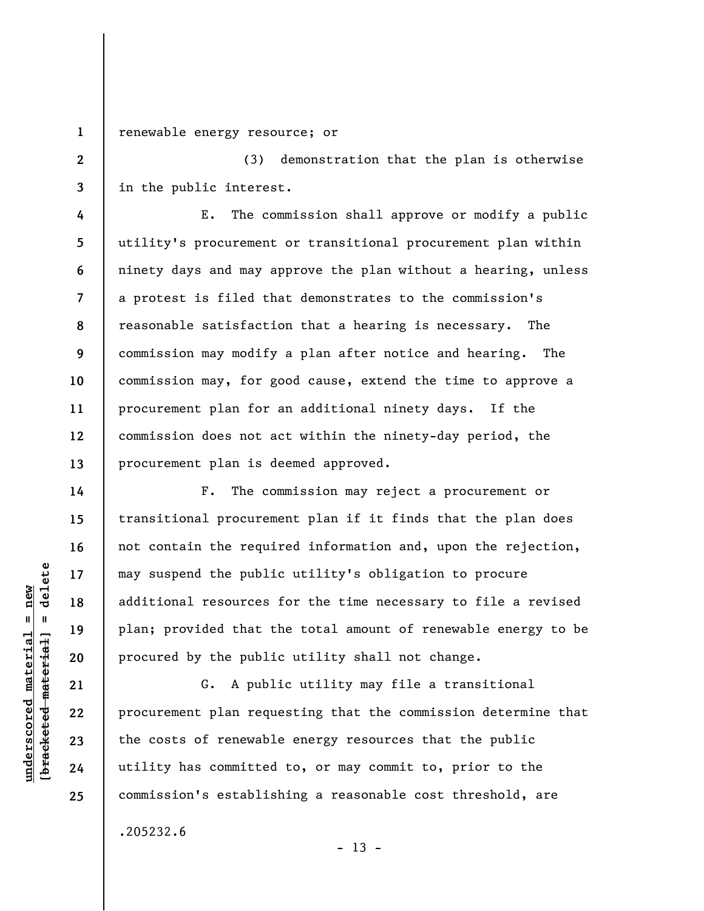renewable energy resource; or

**1** 

**2** 

**3** 

**4** 

**5** 

**6** 

**7** 

**9** 

**10** 

**11** 

**12** 

**13** 

**14** 

**15** 

**16** 

**17** 

**18** 

**19** 

**20** 

**21** 

**22** 

**23** 

**24** 

**25** 

(3) demonstration that the plan is otherwise in the public interest.

**8**  E. The commission shall approve or modify a public utility's procurement or transitional procurement plan within ninety days and may approve the plan without a hearing, unless a protest is filed that demonstrates to the commission's reasonable satisfaction that a hearing is necessary. The commission may modify a plan after notice and hearing. The commission may, for good cause, extend the time to approve a procurement plan for an additional ninety days. If the commission does not act within the ninety-day period, the procurement plan is deemed approved.

F. The commission may reject a procurement or transitional procurement plan if it finds that the plan does not contain the required information and, upon the rejection, may suspend the public utility's obligation to procure additional resources for the time necessary to file a revised plan; provided that the total amount of renewable energy to be procured by the public utility shall not change.

G. A public utility may file a transitional procurement plan requesting that the commission determine that the costs of renewable energy resources that the public utility has committed to, or may commit to, prior to the commission's establishing a reasonable cost threshold, are

.205232.6

 $- 13 -$ 

 $\frac{1}{2}$  intereted material = delete **[bracketed material] = delete**  $anderscored material = new$ **underscored material = new**